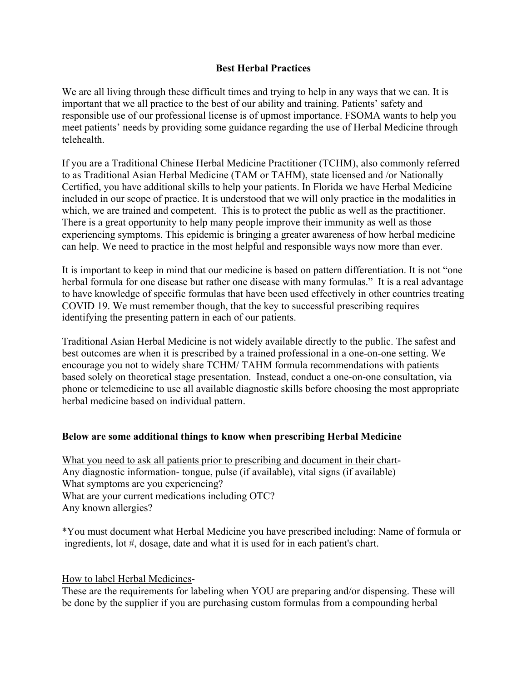## **Best Herbal Practices**

We are all living through these difficult times and trying to help in any ways that we can. It is important that we all practice to the best of our ability and training. Patients' safety and responsible use of our professional license is of upmost importance. FSOMA wants to help you meet patients' needs by providing some guidance regarding the use of Herbal Medicine through telehealth.

If you are a Traditional Chinese Herbal Medicine Practitioner (TCHM), also commonly referred to as Traditional Asian Herbal Medicine (TAM or TAHM), state licensed and /or Nationally Certified, you have additional skills to help your patients. In Florida we have Herbal Medicine included in our scope of practice. It is understood that we will only practice in the modalities in which, we are trained and competent. This is to protect the public as well as the practitioner. There is a great opportunity to help many people improve their immunity as well as those experiencing symptoms. This epidemic is bringing a greater awareness of how herbal medicine can help. We need to practice in the most helpful and responsible ways now more than ever.

It is important to keep in mind that our medicine is based on pattern differentiation. It is not "one herbal formula for one disease but rather one disease with many formulas." It is a real advantage to have knowledge of specific formulas that have been used effectively in other countries treating COVID 19. We must remember though, that the key to successful prescribing requires identifying the presenting pattern in each of our patients.

Traditional Asian Herbal Medicine is not widely available directly to the public. The safest and best outcomes are when it is prescribed by a trained professional in a one-on-one setting. We encourage you not to widely share TCHM/ TAHM formula recommendations with patients based solely on theoretical stage presentation. Instead, conduct a one-on-one consultation, via phone or telemedicine to use all available diagnostic skills before choosing the most appropriate herbal medicine based on individual pattern.

## **Below are some additional things to know when prescribing Herbal Medicine**

What you need to ask all patients prior to prescribing and document in their chart-Any diagnostic information- tongue, pulse (if available), vital signs (if available) What symptoms are you experiencing? What are your current medications including OTC? Any known allergies?

\*You must document what Herbal Medicine you have prescribed including: Name of formula or ingredients, lot #, dosage, date and what it is used for in each patient's chart.

How to label Herbal Medicines-

These are the requirements for labeling when YOU are preparing and/or dispensing. These will be done by the supplier if you are purchasing custom formulas from a compounding herbal